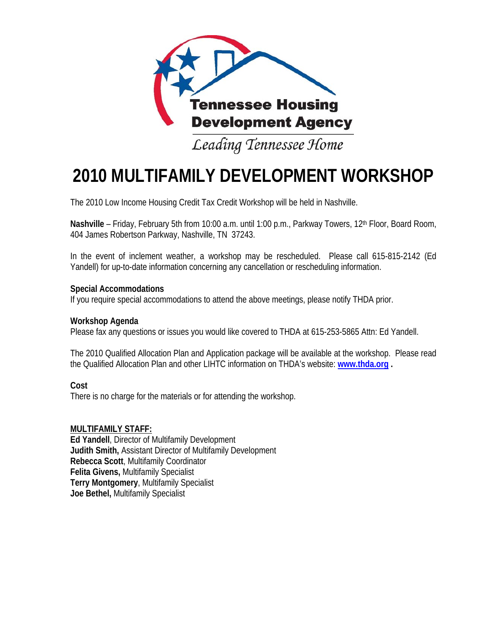

Leading Tennessee Home

# **2010 MULTIFAMILY DEVELOPMENT WORKSHOP**

The 2010 Low Income Housing Credit Tax Credit Workshop will be held in Nashville.

Nashville – Friday, February 5th from 10:00 a.m. until 1:00 p.m., Parkway Towers, 12<sup>th</sup> Floor, Board Room, 404 James Robertson Parkway, Nashville, TN 37243.

In the event of inclement weather, a workshop may be rescheduled. Please call 615-815-2142 (Ed Yandell) for up-to-date information concerning any cancellation or rescheduling information.

#### **Special Accommodations**

If you require special accommodations to attend the above meetings, please notify THDA prior.

#### **Workshop Agenda**

Please fax any questions or issues you would like covered to THDA at 615-253-5865 Attn: Ed Yandell.

The 2010 Qualified Allocation Plan and Application package will be available at the workshop. Please read the Qualified Allocation Plan and other LIHTC information on THDA's website: **www.thda.org .**

#### **Cost**

There is no charge for the materials or for attending the workshop.

#### **MULTIFAMILY STAFF:**

**Ed Yandell**, Director of Multifamily Development **Judith Smith,** Assistant Director of Multifamily Development **Rebecca Scott**, Multifamily Coordinator **Felita Givens,** Multifamily Specialist **Terry Montgomery**, Multifamily Specialist **Joe Bethel,** Multifamily Specialist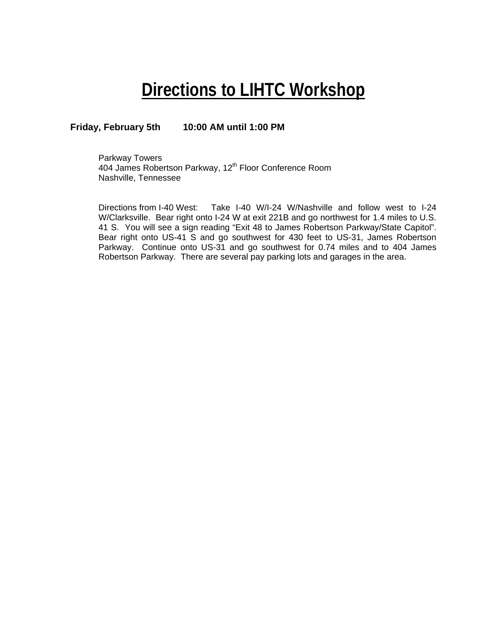## **Directions to LIHTC Workshop**

#### **Friday, February 5th 10:00 AM until 1:00 PM**

Parkway Towers 404 James Robertson Parkway, 12<sup>th</sup> Floor Conference Room Nashville, Tennessee

Directions from I-40 West: Take I-40 W/I-24 W/Nashville and follow west to I-24 W/Clarksville. Bear right onto I-24 W at exit 221B and go northwest for 1.4 miles to U.S. 41 S. You will see a sign reading "Exit 48 to James Robertson Parkway/State Capitol". Bear right onto US-41 S and go southwest for 430 feet to US-31, James Robertson Parkway. Continue onto US-31 and go southwest for 0.74 miles and to 404 James Robertson Parkway. There are several pay parking lots and garages in the area.